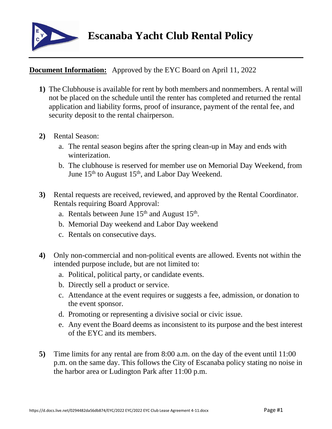

## **Document Information:** Approved by the EYC Board on April 11, 2022

- **1)** The Clubhouse is available for rent by both members and nonmembers. A rental will not be placed on the schedule until the renter has completed and returned the rental application and liability forms, proof of insurance, payment of the rental fee, and security deposit to the rental chairperson.
- **2)** Rental Season:
	- a. The rental season begins after the spring clean-up in May and ends with winterization.
	- b. The clubhouse is reserved for member use on Memorial Day Weekend, from June  $15<sup>th</sup>$  to August  $15<sup>th</sup>$ , and Labor Day Weekend.
- **3)** Rental requests are received, reviewed, and approved by the Rental Coordinator. Rentals requiring Board Approval:
	- a. Rentals between June  $15<sup>th</sup>$  and August  $15<sup>th</sup>$ .
	- b. Memorial Day weekend and Labor Day weekend
	- c. Rentals on consecutive days.
- **4)** Only non-commercial and non-political events are allowed. Events not within the intended purpose include, but are not limited to:
	- a. Political, political party, or candidate events.
	- b. Directly sell a product or service.
	- c. Attendance at the event requires or suggests a fee, admission, or donation to the event sponsor.
	- d. Promoting or representing a divisive social or civic issue.
	- e. Any event the Board deems as inconsistent to its purpose and the best interest of the EYC and its members.
- **5)** Time limits for any rental are from 8:00 a.m. on the day of the event until 11:00 p.m. on the same day. This follows the City of Escanaba policy stating no noise in the harbor area or Ludington Park after 11:00 p.m.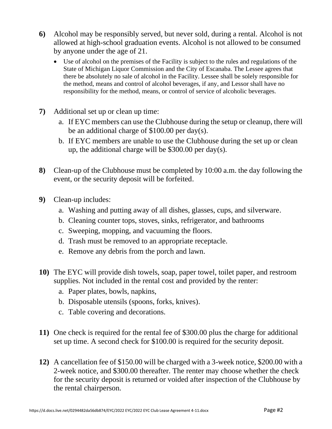- **6)** Alcohol may be responsibly served, but never sold, during a rental. Alcohol is not allowed at high-school graduation events. Alcohol is not allowed to be consumed by anyone under the age of 21.
	- Use of alcohol on the premises of the Facility is subject to the rules and regulations of the State of Michigan Liquor Commission and the City of Escanaba. The Lessee agrees that there be absolutely no sale of alcohol in the Facility. Lessee shall be solely responsible for the method, means and control of alcohol beverages, if any, and Lessor shall have no responsibility for the method, means, or control of service of alcoholic beverages.
- **7)** Additional set up or clean up time:
	- a. If EYC members can use the Clubhouse during the setup or cleanup, there will be an additional charge of \$100.00 per day(s).
	- b. If EYC members are unable to use the Clubhouse during the set up or clean up, the additional charge will be \$300.00 per day(s).
- **8)** Clean-up of the Clubhouse must be completed by 10:00 a.m. the day following the event, or the security deposit will be forfeited.
- **9)** Clean-up includes:
	- a. Washing and putting away of all dishes, glasses, cups, and silverware.
	- b. Cleaning counter tops, stoves, sinks, refrigerator, and bathrooms
	- c. Sweeping, mopping, and vacuuming the floors.
	- d. Trash must be removed to an appropriate receptacle.
	- e. Remove any debris from the porch and lawn.
- **10)** The EYC will provide dish towels, soap, paper towel, toilet paper, and restroom supplies. Not included in the rental cost and provided by the renter:
	- a. Paper plates, bowls, napkins,
	- b. Disposable utensils (spoons, forks, knives).
	- c. Table covering and decorations.
- **11)** One check is required for the rental fee of \$300.00 plus the charge for additional set up time. A second check for \$100.00 is required for the security deposit.
- **12)** A cancellation fee of \$150.00 will be charged with a 3-week notice, \$200.00 with a 2-week notice, and \$300.00 thereafter. The renter may choose whether the check for the security deposit is returned or voided after inspection of the Clubhouse by the rental chairperson.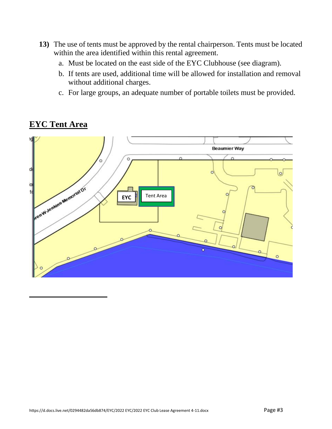- **13)** The use of tents must be approved by the rental chairperson. Tents must be located within the area identified within this rental agreement.
	- a. Must be located on the east side of the EYC Clubhouse (see diagram).
	- b. If tents are used, additional time will be allowed for installation and removal without additional charges.
	- c. For large groups, an adequate number of portable toilets must be provided.



## **EYC Tent Area**